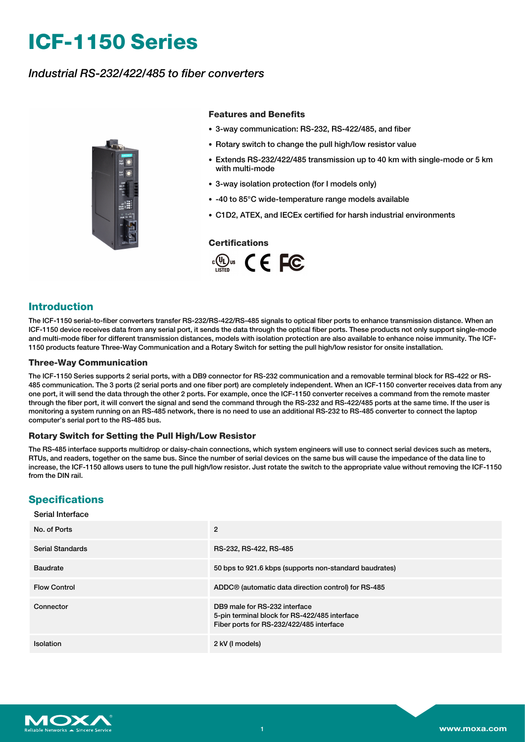# **ICF-1150 Series**

## *Industrial RS-232/422/485 to fiber converters*



#### **Features and Benefits**

- 3-way communication: RS-232, RS-422/485, and fiber
- Rotary switch to change the pull high/low resistor value
- Extends RS-232/422/485 transmission up to 40 km with single-mode or 5 km with multi-mode
- 3-way isolation protection (for I models only)
- -40 to 85°C wide-temperature range models available
- C1D2, ATEX, and IECEx certified for harsh industrial environments

#### **Certifications**



### **Introduction**

The ICF-1150 serial-to-fiber converters transfer RS-232/RS-422/RS-485 signals to optical fiber ports to enhance transmission distance. When an ICF-1150 device receives data from any serial port, it sends the data through the optical fiber ports. These products not only support single-mode and multi-mode fiber for different transmission distances, models with isolation protection are also available to enhance noise immunity. The ICF-1150 products feature Three-Way Communication and a Rotary Switch for setting the pull high/low resistor for onsite installation.

#### **Three-Way Communication**

The ICF-1150 Series supports 2 serial ports, with a DB9 connector for RS-232 communication and a removable terminal block for RS-422 or RS-485 communication. The 3 ports (2 serial ports and one fiber port) are completely independent. When an ICF-1150 converter receives data from any one port, it will send the data through the other 2 ports. For example, once the ICF-1150 converter receives a command from the remote master through the fiber port, it will convert the signal and send the command through the RS-232 and RS-422/485 ports at the same time. If the user is monitoring a system running on an RS-485 network, there is no need to use an additional RS-232 to RS-485 converter to connect the laptop computer's serial port to the RS-485 bus.

#### **Rotary Switch for Setting the Pull High/Low Resistor**

The RS-485 interface supports multidrop or daisy-chain connections, which system engineers will use to connect serial devices such as meters, RTUs, and readers, together on the same bus. Since the number of serial devices on the same bus will cause the impedance of the data line to increase, the ICF-1150 allows users to tune the pull high/low resistor. Just rotate the switch to the appropriate value without removing the ICF-1150 from the DIN rail.

## **Specifications**

#### Serial Interface

| No. of Ports            | 2                                                                                                                          |
|-------------------------|----------------------------------------------------------------------------------------------------------------------------|
| <b>Serial Standards</b> | RS-232, RS-422, RS-485                                                                                                     |
| <b>Baudrate</b>         | 50 bps to 921.6 kbps (supports non-standard baudrates)                                                                     |
| <b>Flow Control</b>     | ADDC <sup>®</sup> (automatic data direction control) for RS-485                                                            |
| Connector               | DB9 male for RS-232 interface<br>5-pin terminal block for RS-422/485 interface<br>Fiber ports for RS-232/422/485 interface |
| Isolation               | 2 kV (I models)                                                                                                            |

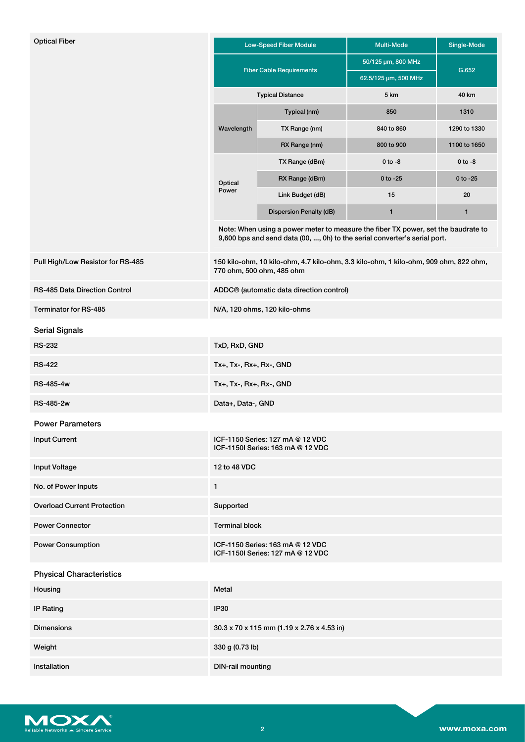| <b>Optical Fiber</b>               |                                                                                                                                                                | <b>Low-Speed Fiber Module</b>                        | <b>Multi-Mode</b>    | Single-Mode  |  |  |  |  |
|------------------------------------|----------------------------------------------------------------------------------------------------------------------------------------------------------------|------------------------------------------------------|----------------------|--------------|--|--|--|--|
|                                    |                                                                                                                                                                |                                                      | 50/125 µm, 800 MHz   |              |  |  |  |  |
|                                    |                                                                                                                                                                | <b>Fiber Cable Requirements</b>                      | 62.5/125 µm, 500 MHz | G.652        |  |  |  |  |
|                                    |                                                                                                                                                                | <b>Typical Distance</b>                              | 5 km                 | 40 km        |  |  |  |  |
|                                    |                                                                                                                                                                | Typical (nm)                                         | 850                  | 1310         |  |  |  |  |
|                                    | Wavelength                                                                                                                                                     | TX Range (nm)                                        | 840 to 860           | 1290 to 1330 |  |  |  |  |
|                                    |                                                                                                                                                                | RX Range (nm)                                        | 800 to 900           | 1100 to 1650 |  |  |  |  |
|                                    | Optical                                                                                                                                                        | TX Range (dBm)                                       | $0$ to $-8$          | $0$ to $-8$  |  |  |  |  |
|                                    |                                                                                                                                                                | RX Range (dBm)                                       | $0$ to $-25$         | $0$ to $-25$ |  |  |  |  |
|                                    | Power                                                                                                                                                          | Link Budget (dB)                                     | 15                   | 20           |  |  |  |  |
|                                    |                                                                                                                                                                | Dispersion Penalty (dB)                              | 1                    | 1            |  |  |  |  |
|                                    | Note: When using a power meter to measure the fiber TX power, set the baudrate to<br>9,600 bps and send data (00, , 0h) to the serial converter's serial port. |                                                      |                      |              |  |  |  |  |
| Pull High/Low Resistor for RS-485  | 150 kilo-ohm, 10 kilo-ohm, 4.7 kilo-ohm, 3.3 kilo-ohm, 1 kilo-ohm, 909 ohm, 822 ohm,<br>770 ohm, 500 ohm, 485 ohm                                              |                                                      |                      |              |  |  |  |  |
| RS-485 Data Direction Control      |                                                                                                                                                                | ADDC <sup>®</sup> (automatic data direction control) |                      |              |  |  |  |  |
| Terminator for RS-485              |                                                                                                                                                                | N/A, 120 ohms, 120 kilo-ohms                         |                      |              |  |  |  |  |
| <b>Serial Signals</b>              |                                                                                                                                                                |                                                      |                      |              |  |  |  |  |
| <b>RS-232</b>                      | TxD, RxD, GND                                                                                                                                                  |                                                      |                      |              |  |  |  |  |
| <b>RS-422</b>                      | Tx+, Tx-, Rx+, Rx-, GND                                                                                                                                        |                                                      |                      |              |  |  |  |  |
| <b>RS-485-4w</b>                   | $Tx+$ , $Tx-$ , $Rx+$ , $Rx-$ , $GND$                                                                                                                          |                                                      |                      |              |  |  |  |  |
| <b>RS-485-2w</b>                   | Data+, Data-, GND                                                                                                                                              |                                                      |                      |              |  |  |  |  |
| <b>Power Parameters</b>            |                                                                                                                                                                |                                                      |                      |              |  |  |  |  |
| <b>Input Current</b>               | ICF-1150 Series: 127 mA @ 12 VDC<br>ICF-1150I Series: 163 mA @ 12 VDC                                                                                          |                                                      |                      |              |  |  |  |  |
| <b>Input Voltage</b>               | 12 to 48 VDC                                                                                                                                                   |                                                      |                      |              |  |  |  |  |
| No. of Power Inputs                | $\mathbf{1}$                                                                                                                                                   |                                                      |                      |              |  |  |  |  |
| <b>Overload Current Protection</b> | Supported                                                                                                                                                      |                                                      |                      |              |  |  |  |  |
| <b>Power Connector</b>             | <b>Terminal block</b>                                                                                                                                          |                                                      |                      |              |  |  |  |  |
| <b>Power Consumption</b>           | ICF-1150 Series: 163 mA @ 12 VDC<br>ICF-1150I Series: 127 mA @ 12 VDC                                                                                          |                                                      |                      |              |  |  |  |  |
| <b>Physical Characteristics</b>    |                                                                                                                                                                |                                                      |                      |              |  |  |  |  |
| Housing                            | Metal                                                                                                                                                          |                                                      |                      |              |  |  |  |  |
| <b>IP Rating</b>                   | <b>IP30</b>                                                                                                                                                    |                                                      |                      |              |  |  |  |  |
| <b>Dimensions</b>                  | 30.3 x 70 x 115 mm (1.19 x 2.76 x 4.53 in)                                                                                                                     |                                                      |                      |              |  |  |  |  |
| Weight                             | 330 g (0.73 lb)                                                                                                                                                |                                                      |                      |              |  |  |  |  |
| Installation                       | <b>DIN-rail mounting</b>                                                                                                                                       |                                                      |                      |              |  |  |  |  |

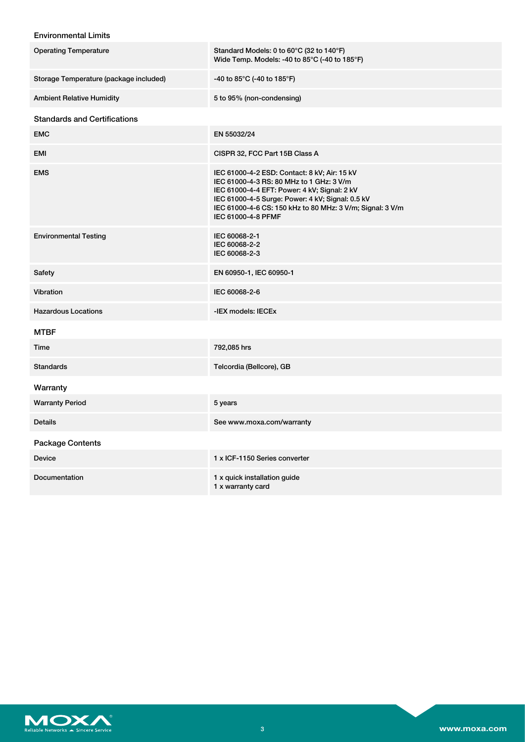## Environmental Limits

| <b>Operating Temperature</b>           | Standard Models: 0 to 60°C (32 to 140°F)<br>Wide Temp. Models: -40 to 85 $\degree$ C (-40 to 185 $\degree$ F)                                                                                                                                                                   |
|----------------------------------------|---------------------------------------------------------------------------------------------------------------------------------------------------------------------------------------------------------------------------------------------------------------------------------|
| Storage Temperature (package included) | -40 to 85°C (-40 to 185°F)                                                                                                                                                                                                                                                      |
| <b>Ambient Relative Humidity</b>       | 5 to 95% (non-condensing)                                                                                                                                                                                                                                                       |
| <b>Standards and Certifications</b>    |                                                                                                                                                                                                                                                                                 |
| <b>EMC</b>                             | EN 55032/24                                                                                                                                                                                                                                                                     |
| EMI                                    | CISPR 32, FCC Part 15B Class A                                                                                                                                                                                                                                                  |
| <b>EMS</b>                             | IEC 61000-4-2 ESD: Contact: 8 kV; Air: 15 kV<br>IEC 61000-4-3 RS: 80 MHz to 1 GHz: 3 V/m<br>IEC 61000-4-4 EFT: Power: 4 kV; Signal: 2 kV<br>IEC 61000-4-5 Surge: Power: 4 kV; Signal: 0.5 kV<br>IEC 61000-4-6 CS: 150 kHz to 80 MHz: 3 V/m; Signal: 3 V/m<br>IEC 61000-4-8 PFMF |
| <b>Environmental Testing</b>           | IEC 60068-2-1<br>IEC 60068-2-2<br>IEC 60068-2-3                                                                                                                                                                                                                                 |
| Safety                                 | EN 60950-1, IEC 60950-1                                                                                                                                                                                                                                                         |
| Vibration                              | IEC 60068-2-6                                                                                                                                                                                                                                                                   |
| <b>Hazardous Locations</b>             | -IEX models: IECEx                                                                                                                                                                                                                                                              |
| <b>MTBF</b>                            |                                                                                                                                                                                                                                                                                 |
| Time                                   | 792,085 hrs                                                                                                                                                                                                                                                                     |
| <b>Standards</b>                       | Telcordia (Bellcore), GB                                                                                                                                                                                                                                                        |
| Warranty                               |                                                                                                                                                                                                                                                                                 |
| <b>Warranty Period</b>                 | 5 years                                                                                                                                                                                                                                                                         |
| <b>Details</b>                         | See www.moxa.com/warranty                                                                                                                                                                                                                                                       |
| <b>Package Contents</b>                |                                                                                                                                                                                                                                                                                 |
| <b>Device</b>                          | 1 x ICF-1150 Series converter                                                                                                                                                                                                                                                   |
| Documentation                          | 1 x quick installation guide<br>1 x warranty card                                                                                                                                                                                                                               |

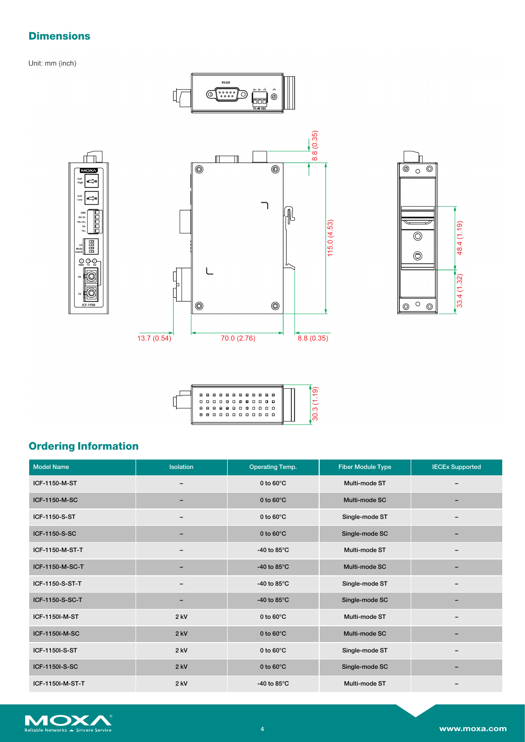## **Dimensions**

ıЮ

⇔

開

 $\circledcirc$ Ô

 $\mathcal{Q}$   $\mathcal{Q}$   $\mathcal{Q}$ 

MC

Pull<br>Low 5

Unit: mm (inch)





| A | 8<br>.<br>8888880800<br>880000000000 | 88888888 |  |  |  |  | - 8<br>- 0 |  |  |  |
|---|--------------------------------------|----------|--|--|--|--|------------|--|--|--|
|   |                                      |          |  |  |  |  |            |  |  |  |

## **Ordering Information**

| <b>Model Name</b> | <b>Isolation</b> | <b>Operating Temp.</b> | <b>Fiber Module Type</b> | <b>IECEx Supported</b> |
|-------------------|------------------|------------------------|--------------------------|------------------------|
| ICF-1150-M-ST     | -                | 0 to $60^{\circ}$ C    | Multi-mode ST            |                        |
| ICF-1150-M-SC     |                  | 0 to $60^{\circ}$ C    | Multi-mode SC            |                        |
| ICF-1150-S-ST     |                  | 0 to $60^{\circ}$ C    | Single-mode ST           |                        |
| ICF-1150-S-SC     | -                | 0 to $60^{\circ}$ C    | Single-mode SC           |                        |
| ICF-1150-M-ST-T   |                  | -40 to 85 $\degree$ C  | Multi-mode ST            |                        |
| ICF-1150-M-SC-T   |                  | -40 to $85^{\circ}$ C  | Multi-mode SC            |                        |
| ICF-1150-S-ST-T   |                  | -40 to 85 $\degree$ C  | Single-mode ST           |                        |
| ICF-1150-S-SC-T   | -                | -40 to $85^{\circ}$ C  | Single-mode SC           |                        |
| ICF-1150I-M-ST    | $2$ kV           | 0 to $60^{\circ}$ C    | Multi-mode ST            |                        |
| ICF-1150I-M-SC    | $2$ kV           | 0 to $60^{\circ}$ C    | Multi-mode SC            |                        |
| ICF-1150I-S-ST    | $2$ kV           | 0 to $60^{\circ}$ C    | Single-mode ST           |                        |
| ICF-1150I-S-SC    | $2$ kV           | 0 to $60^{\circ}$ C    | Single-mode SC           |                        |
| ICF-1150I-M-ST-T  | $2$ kV           | -40 to 85 $\degree$ C  | Multi-mode ST            |                        |